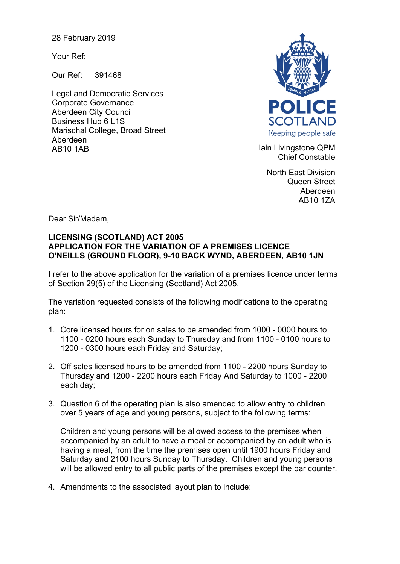28 February 2019

Your Ref:

Our Ref: 391468

Legal and Democratic Services Corporate Governance Aberdeen City Council Business Hub 6 L1S Marischal College, Broad Street Aberdeen AB10 1AB **Iain Livingstone QPM** 



Chief Constable

North East Division Queen Street Aberdeen AB10 1ZA

Dear Sir/Madam,

## **LICENSING (SCOTLAND) ACT 2005 APPLICATION FOR THE VARIATION OF A PREMISES LICENCE O'NEILLS (GROUND FLOOR), 9-10 BACK WYND, ABERDEEN, AB10 1JN**

I refer to the above application for the variation of a premises licence under terms of Section 29(5) of the Licensing (Scotland) Act 2005.

The variation requested consists of the following modifications to the operating plan:

- 1. Core licensed hours for on sales to be amended from 1000 0000 hours to 1100 - 0200 hours each Sunday to Thursday and from 1100 - 0100 hours to 1200 - 0300 hours each Friday and Saturday;
- 2. Off sales licensed hours to be amended from 1100 2200 hours Sunday to Thursday and 1200 - 2200 hours each Friday And Saturday to 1000 - 2200 each day;
- 3. Question 6 of the operating plan is also amended to allow entry to children over 5 years of age and young persons, subject to the following terms:

Children and young persons will be allowed access to the premises when accompanied by an adult to have a meal or accompanied by an adult who is having a meal, from the time the premises open until 1900 hours Friday and Saturday and 2100 hours Sunday to Thursday. Children and young persons will be allowed entry to all public parts of the premises except the bar counter.

4. Amendments to the associated layout plan to include: